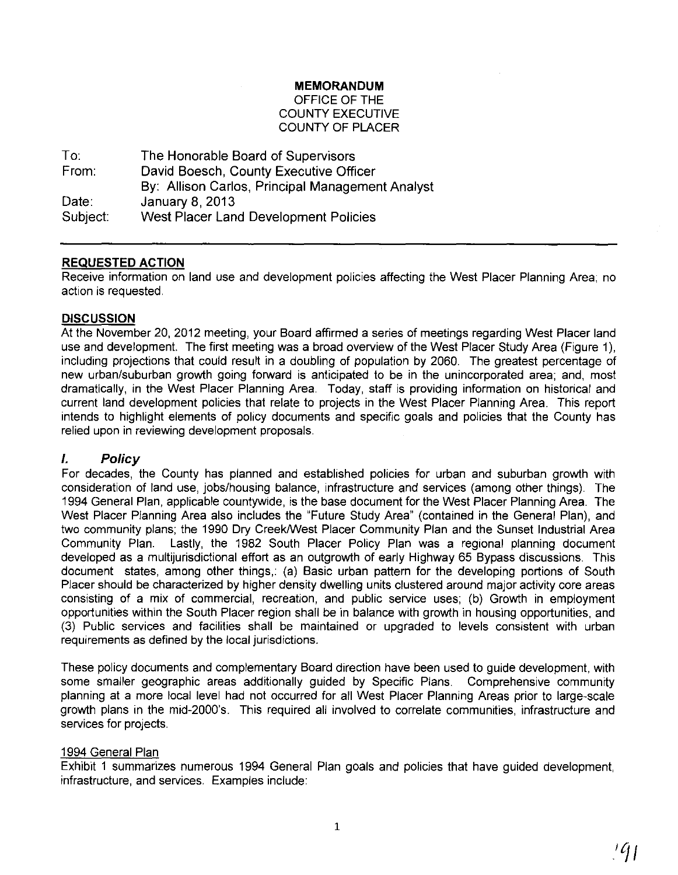#### **MEMORANDUM**

## OFFICE OF **THE**  COUNTY EXECUTIVE COUNTY OF PLACER

To: From: Date: Subject: The Honorable Board of Supervisors David Boesch, County Executive Officer By: Allison Carlos, Principal Management Analyst January 8,2013 West Placer Land Development Policies

## **REQUESTED ACTION**

Receive information on land use and development policies affecting the West Placer Planning Area; no action is requested.

#### **DISCUSSION**

At the November 20, 2012 meeting, your Board affirmed a series of meetings regarding West Placer land use and development. The first meeting was a broad overview of the West Placer Study Area (Figure 1), including projections that could result in a doubling of population by 2060. The greatest percentage of new urban/suburban growth going forward is anticipated to be in the unincorporated area; and, most dramatically, in the West Placer Planning Area. Today, staff is providing information on historical and current land development policies that relate to projects in the West Placer Planning Area. This report intends to highlight elements of policy documents and specific goals and policies that the County has relied upon in reviewing development proposals.

## **I. Policy**

For decades, the County has planned and established policies for urban and suburban growth with consideration of land use, jobs/housing balance, infrastructure and services (among other things). The 1994 General Plan, applicable countywide, is the base document for the West Placer Planning Area. The West Placer Planning Area also includes the "Future Study Area" (contained in the General Plan), and two community plans; the 1990 Dry Creek/West Placer Community Plan and the Sunset Industrial Area Community Plan. Lastly, the 1982 South Placer Policy Plan was a regional planning document developed as a multijurisdictional effort as an outgrowth of early Highway 65 Bypass discussions. This document states, among other things,: (a) Basic urban pattern for the developing portions of South Placer should be characterized by higher density dwelling units clustered around major activity core areas consisting of a mix of commercial, recreation, and public service uses; (b) Growth in employment opportunities within the South Placer region shall be in balance with growth in housing opportunities, and (3) Public services and facilities shall be maintained or upgraded to levels consistent with urban requirements as defined by the local jurisdictions.

These policy documents and complementary Board direction have been used to guide development, with some smaller geographic areas additionally guided by Specific Plans. Comprehensive community planning at a more local level had not occurred for all West Placer Planning Areas prior to large-scale growth plans in the mid-2000's. This required all involved to correlate communities, infrastructure and services for projects.

## 1994 General Plan

Exhibit 1 summarizes numerous 1994 General Plan goals and policies that have guided development, infrastructure, and services. Examples include: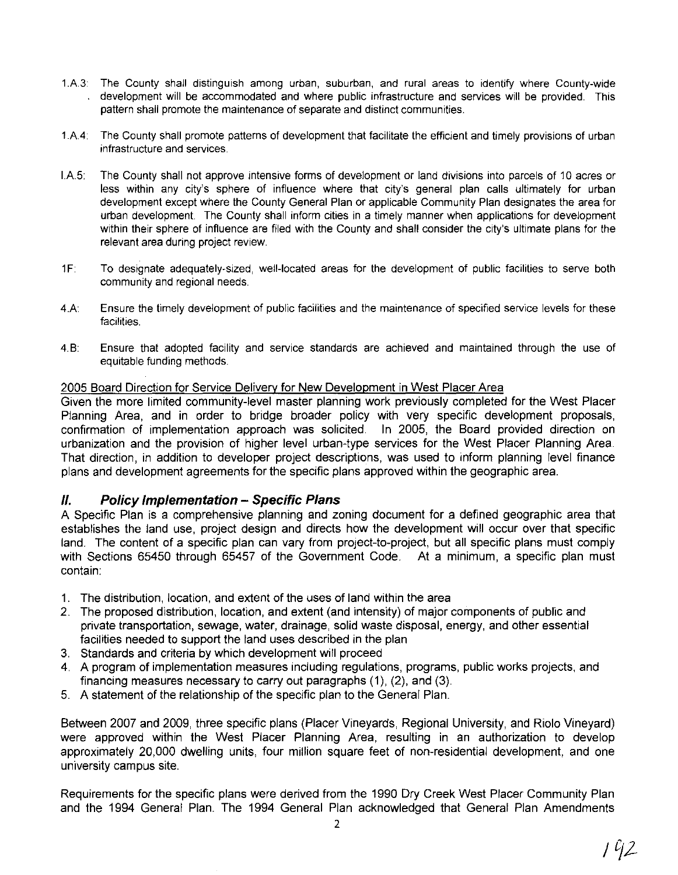- 1 A3: The County shall distinguish among urban, suburban, and rural areas to identify where County-wide development will be accommodated and where public infrastructure and services will be provided. This pattern shall promote the maintenance of separate and distinct communities.
- 1 A4: The County shall promote patterns of development that facilitate the efficient and timely provisions of urban infrastructure and services.
- IA5: The County shall not approve intensive forms of development or land divisions into parcels of 10 acres or less within any city's sphere of influence where that city's general plan calls ultimately for urban development except where the County General Plan or applicable Community Plan designates the area for urban development. The County shall inform cities in a timely manner when applications for development within their sphere of influence are filed with the County and shall consider the city's ultimate plans for the relevant area during project review.
- 1F: To designate adequately-sized, well-located areas for the development of public facilities to serve both community and regional needs.
- 4.A: Ensure the timely development of public facilities and the maintenance of specified service levels for these facilities.
- 4. B: Ensure that adopted facility and service standards are achieved and maintained through the use of equitable funding methods.

## 2005 Board Direction for Service Deliverv for New Development in West Placer Area

Given the more limited community-level master planning work previously completed for the West Placer Planning Area, and in order to bridge broader policy with very specific development proposals, confirmation of implementation approach was solicited. In 2005, the Board provided direction on urbanization and the provision of higher level urban-type services for the West Placer Planning Area. That direction, in addition to developer project descriptions, was used to inform planning level finance plans and development agreements for the specific plans approved within the geographic area.

## **II. Policy Implementation - Specific Plans**

A Specific Plan is a comprehensive planning and zoning document for a defined geographic area that establishes the land use, project design and directs how the development will occur over that specific land. The content of a specific plan can vary from project-to-project, but all specific plans must comply with Sections 65450 through 65457 of the Government Code. At a minimum, a specific plan must contain:

- 1. The distribution, location, and extent of the uses of land within the area
- 2. The proposed distribution, location, and extent (and intensity) of major components of public and private transportation, sewage, water, drainage, solid waste disposal, energy, and other essential facilities needed to support the land uses described in the plan
- 3. Standards and criteria by which development will proceed
- 4. A program of implementation measures including regulations, programs, public works projects, and financing measures necessary to carry out paragraphs (1), (2), and (3).
- 5. A statement of the relationship of the specific plan to the General Plan.

Between 2007 and 2009, three specific plans (Placer Vineyards, Regional University, and Riolo Vineyard) were approved within the West Placer Planning Area, resulting in an authorization to develop approximately 20,000 dwelling units, four million square feet of non-residential development, and one university campus site.

Requirements for the specific plans were derived from the 1990 Dry Creek West Placer Community Plan and the 1994 General Plan. The 1994 General Plan acknowledged that General Plan Amendments

2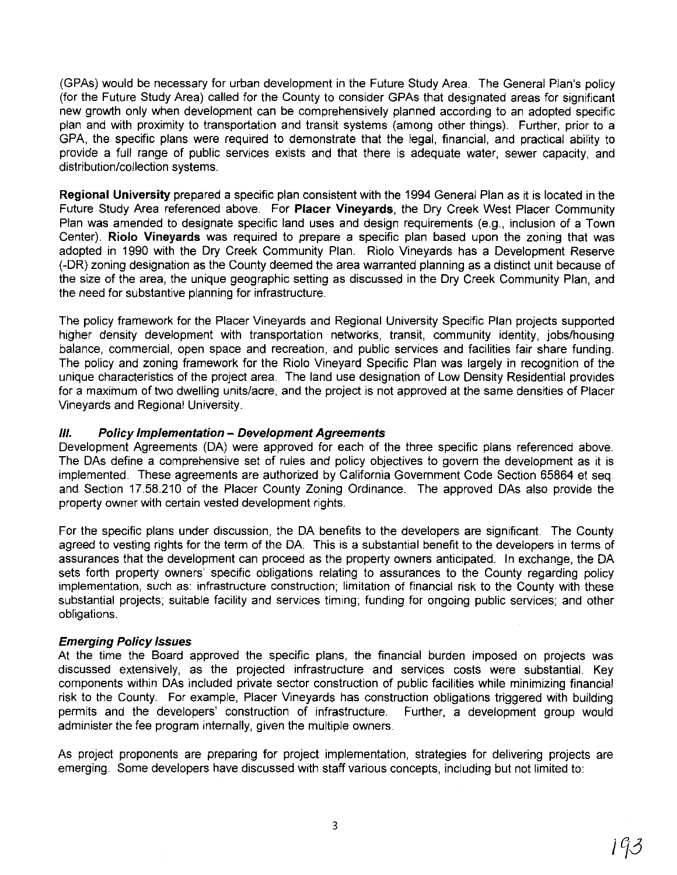(GPAs) would be necessary for urban development in the Future Study Area. The General Plan's policy (for the Future Study Area) called for the County to consider GPAs that designated areas for significant new growth only when development can be comprehensively planned according to an adopted specific plan and with proximity to transportation and transit systems (among other things). Further, prior to a GPA, the specific plans were required to demonstrate that the legal, financial, and practical ability to provide a full range of public services exists and that there is adequate water, sewer capacity, and distribution/collection systems.

**Regional University** prepared a specific plan consistent with the 1994 General Plan as it is located in the Future Study Area referenced above. For **Placer Vineyards,** the Dry Creek West Placer Community Plan was amended to designate specific land uses and design requirements (e.g., inclusion of a Town Center). **Riolo Vineyards** was required to prepare a specific plan based upon the zoning that was adopted in 1990 with the Dry Creek Community Plan. Riolo Vineyards has a Development Reserve (-DR) zoning designation as the County deemed the area warranted planning as a distinct unit because of the size of the area, the unique geographic setting as discussed in the Dry Creek Community Plan, and the need for substantive planning for infrastructure.

The policy framework for the Placer Vineyards and Regional University Specific Plan projects supported higher density development with transportation networks, transit, community identity, jobs/housing balance, commercial, open space and recreation, and public services and facilities fair share funding. The policy and zoning framework for the Riolo Vineyard Specific Plan was largely in recognition of the unique characteristics of the project area. The land use designation of Low Density Residential provides for a maximum of two dwelling units/acre, and the project is not approved at the same densities of Placer Vineyards and Regional University.

## **111. Policy Implementation - Development Agreements**

Development Agreements (DA) were approved for each of the three specific plans referenced above. The DAs define a comprehensive set of rules and policy objectives to govern the development as it is implemented. These agreements are authorized by California Government Code Section 65864 et seq. and Section 17.58.210 of the Placer County Zoning Ordinance. The approved DAs also provide the property owner with certain vested development rights.

For the specific plans under discussion, the DA benefits to the developers are significant. The County agreed to vesting rights for the term of the DA. This is a substantial benefit to the developers in terms of assurances that the development can proceed as the property owners anticipated. In exchange, the DA sets forth property owners' specific obligations relating to assurances to the County regarding policy implementation, such as: infrastructure construction; limitation of financial risk to the County with these substantial projects; suitable facility and services timing; funding for ongoing public services; and other obligations.

## **Emerging Policy Issues**

At the time the Board approved the specific plans, the financial burden imposed on projects was discussed extensively, as the projected infrastructure and services costs were substantial. Key components within DAs included private sector construction of public facilities while minimizing financial risk to the County. For example, Placer Vineyards has construction obligations triggered with building permits and the developers' construction of infrastructure. Further, a development group would administer the fee program internally, given the multiple owners.

As project proponents are preparing for project implementation, strategies for delivering projects are emerging. Some developers have discussed with staff various concepts, including but not limited to: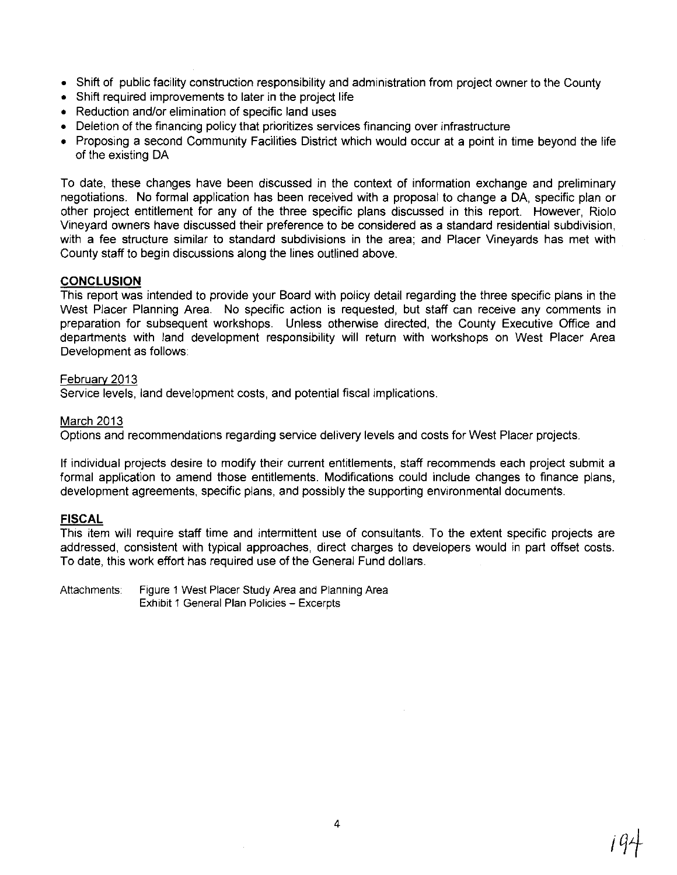- Shift of public facility construction responsibility and administration from project owner to the County
- Shift required improvements to later in the project life
- Reduction and/or elimination of specific land uses
- Deletion of the financing policy that prioritizes services financing over infrastructure
- Proposing a second Community Facilities District which would occur at a point in time beyond the life of the existing DA

To date, these changes have been discussed in the context of information exchange and preliminary negotiations. No formal application has been received with a proposal to change a DA, specific plan or other project entitlement for any of the three specific plans discussed in this report. However, Riolo Vineyard owners have discussed their preference to be considered as a standard residential subdivision, with a fee structure similar to standard subdivisions in the area; and Placer Vineyards has met with County staff to begin discussions along the lines outlined above.

## **CONCLUSION**

This report was intended to provide your Board with policy detail regarding the three specific plans in the West Placer Planning Area. No specific action is requested, but staff can receive any comments in preparation for subsequent workshops. Unless otherwise directed, the County Executive Office and departments with land development responsibility will return with workshops on West Placer Area Development as follows

#### February 2013

Service levels, land development costs, and potential fiscal implications.

## March 2013

Options and recommendations regarding service delivery levels and costs for West Placer projects.

If individual projects desire to modify their current entitlements, staff recommends each project submit a formal application to amend those entitlements. Modifications could include changes to finance plans, development agreements, specific plans, and possibly the supporting environmental documents.

## **FISCAL**

This item will require staff time and intermittent use of consultants. To the extent specific projects are addressed, consistent with typical approaches, direct charges to developers would in part offset costs. To date, this work effort has required use of the General Fund dollars.

Attachments: Figure 1 West Placer Study Area and Planning Area Exhibit 1 General Plan Policies - Excerpts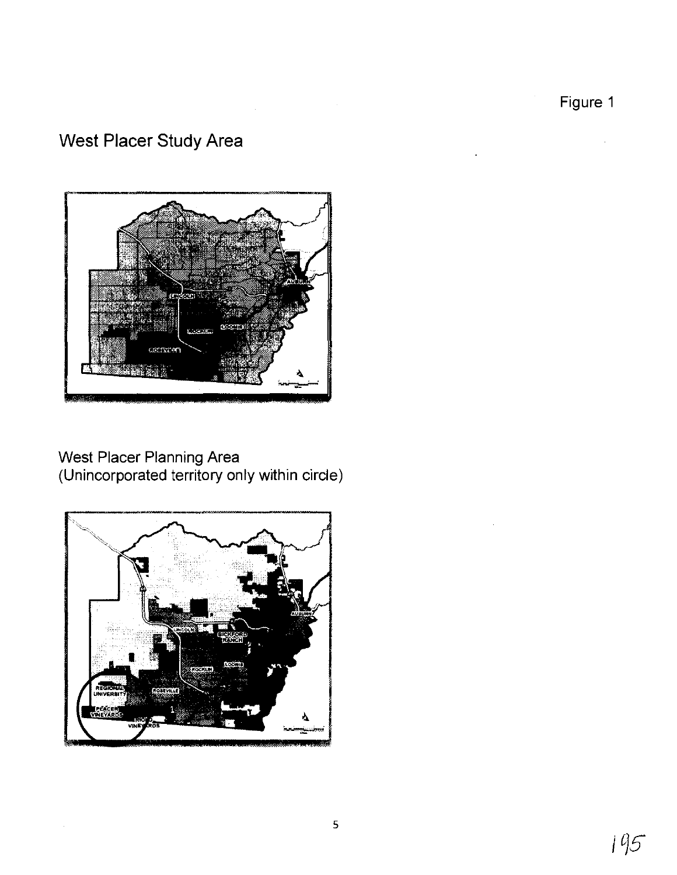Figure 1

# **West Placer Study Area**



West Placer Planning Area (Unincorporated territory only within circle)

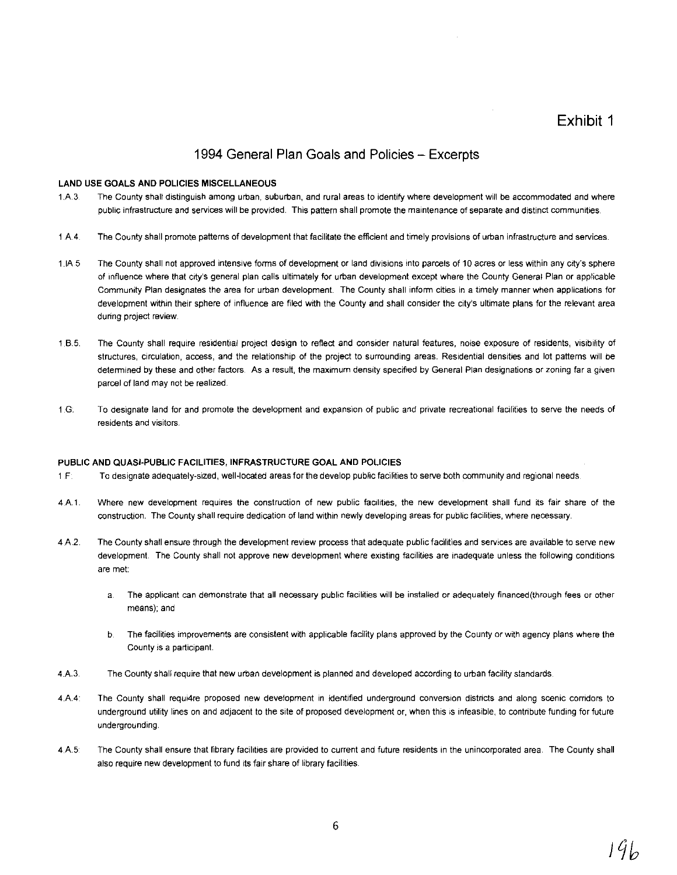Exhibit 1

## 1994 General Plan Goals and Policies - Excerpts

#### LAND USE GOALS AND POLICIES MISCELLANEOUS

- 1.A 3 The County shalt distinguish among urban, suburban, and rural areas to identify where development will be accommodated and where public infrastructure and services will be provided, This pattern shall promote the maintenance of separate and distinct communities
- 1 A4 The County shall promote patterns of development that facilitate the efficient and timely provisions of urban infrastructure and services.
- 1.IA 5 The County shall not approved intenSive forms of development or land divisions into parcels of 10 acres or less within any city's sphere of influence where that city's general plan calls ultimately for urban development except where the County General Plan or applicable Community Plan designates the area for urban development. The County shall inform cities in a timely manner when applications for development within their sphere of influence are filed with the County and shall consider the city's ultimate plans for the relevant area during project review.
- 1.6.5. The County shall require residential project design to reflect and consider natural features, noise exposure of residents, visibility of structures, circulation, access, and the relationship of the project to surrounding areas. Residential densities and lot patterns will be determined by these and other factors. As a result, the maximum density specified by General Plan designations or zoning far a given parcel of land may not be realized.
- 1.G: To designate land for and promote the development and expansion of public and private recreational facilities to serve the needs of residents and visitors.

#### PUBLIC AND QUASI-PUBLIC FACILITIES, INFRASTRUCTURE GOAL AND POLICIES

- 1.F: To designate adequately-sized, well-located areas for the develop public facilities to serve both community and regional needs.
- 4.A.1. Where new development requires the construction of new public facilities, the new development shall fund its fair share of the construction. The County shall require dedication of land within newly developing areas for public facilities, where necessary
- 4.A.2 The County shall ensure through the development review process that adequate public facilities and services are available to serve new development. The County shall not approve new development where existing facilities are inadequate unless the following conditions are met:
	- a. The applicant can demonstrate that all necessary public facilities will be installed or adequately financed(through fees or other means); and
	- b. The facilities improvements are consistent with applicable facility plans approved by the County or with agency plans where the County is a participant.
- 4.A.3. The County shall require that new urban development is planned and developed according to urban facility standards
- 4.A.4 The County shall requi4re proposed new development in identified underground conversion districts and along scenic corridors to underground utility lines on and adjacent to the site of proposed development or, when this is infeasible, to contribute funding for future undergrounding
- 4.A.5 The County shall ensure that library facilities are provided to current and future residents in the unincorporated area. The County shall also require new development to fund its fair share of library facilities.

19 b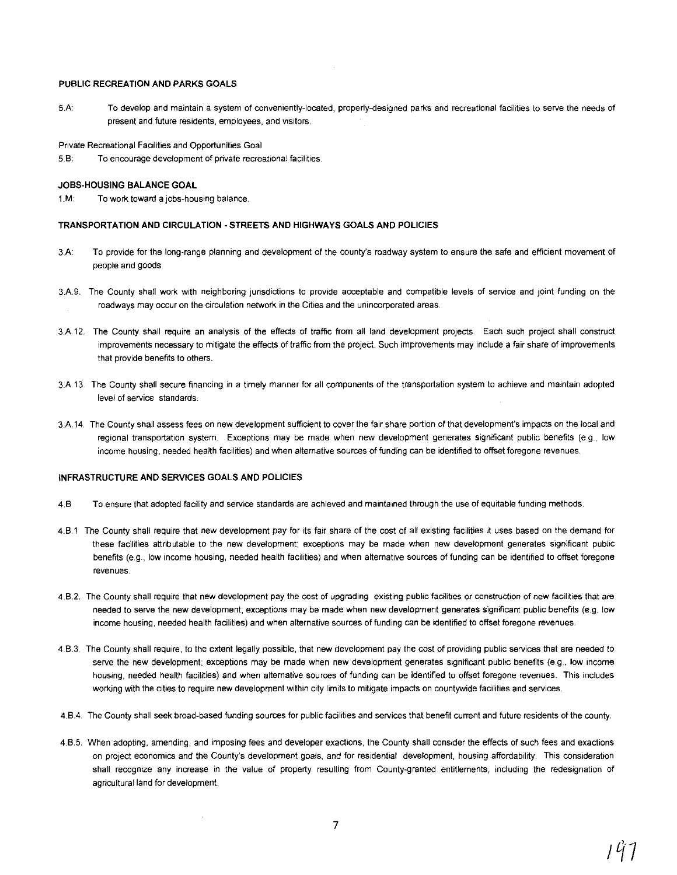#### PUBLIC RECREATION AND PARKS GOALS

5.A: To develop and maintain a system of conveniently-located, properly-designed parks and recreational facilities to serve the needs of present and future residents, employees, and visitors.

Private Recreational Facilities and Opportunities Goal

5,8: To encourage development of private recreational facilities.

#### JOBS-HOUSING BALANCE GOAL

1.M: To work toward a jobs-housing balance.

#### TRANSPORTATION AND CIRCULATION - STREETS AND HIGHWAYS GOALS AND POLICIES

- 3.A: To provide for the long-range planning and development of the county's roadway system to ensure the safe and efficient movement of people and goods
- 3.A.9. The County shall work with neighboring jurisdictions to provide acceptable and compatible levels of service and joint funding on the roadways may occur on the circulation network in the Cities and the unincorporated areas.
- 3.A 12. The County shall require an analysis of the effects of traffic from all land development projects Each such project shall construct improvements necessary to mitigate the effects of traffic from the project. Such improvements may include a fair share of improvements that provide benefits to others.
- 3.A 13 The County shall secure financing in a timely manner for all components of the transportation system to achieve and maintain adopted level of service standards.
- 3.A 14 The County shall assess fees on new development sufficient to cover the fair share portion of that development's impacts on the local and regional transportation system. Exceptions may be made when new development generates significant public benefits (e.g., low income housing, needed health facilities) and when alternative sources of funding can be identified to offset foregone revenues.

#### INFRASTRUCTURE AND SERVICES GOALS AND POLICIES

- 4.8 To ensure that adopted facility and service standards are achieved and maintamed through the use of equitable funding methods.
- 4.8.1 The County shall require that new development pay for its fair share of the cost of all existing facilities it uses based on the demand for these facilities attributable to the new development; exceptions may be made when new development generates significant public benefits (e.g., low income housing, needed health facilities) and when alternative sources of funding can be identified to offset foregone revenues
- 4.8.2. The County shall require that new development pay the cost of upgrading existing public facilities or construction of new facilities that are needed to serve the new development; exceptions may be made when new development generates Significant public benefits (e.g. low income housing, needed health facilities) and when alternative sources of funding can be identified to offset foregone revenues
- 4.8.3. The County shall require, to the extent legally possible, that new development pay the cost of providing public services that are needed to serve the new development; exceptions may be made when new development generates significant public benefits (e.g., low income housing, needed health facilities) and when alternative sources of funding can be identified to offset foregone revenues. This includes working with the cities to require new development within city limits to mitigate impacts on countywide facilities and services.
- 4.8.4 The County shall seek broad-based funding sources for public facilities and services that benefit current and future residents of the county
- 4.8.5. When adopting, amending, and imposing fees and developer exactions, the County shall consider the effects of such fees and exactions on project economics and the County's development goals, and for residential development, housing affordability. This consideration shall recognize any increase in the value of property resulting from County-granted entitlements, including the redesignation of agricultural land for development